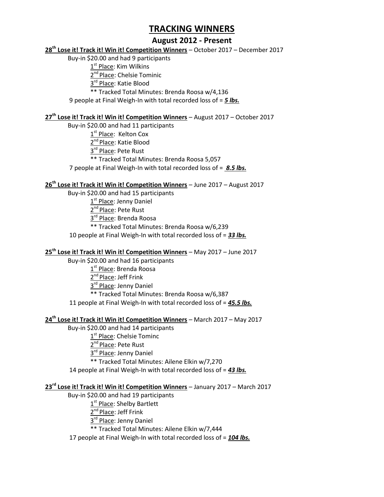## **August 2012 - Present**

#### **28th Lose it! Track it! Win it! Competition Winners** – October 2017 – December 2017

Buy-in \$20.00 and had 9 participants

1<sup>st</sup> Place: Kim Wilkins

2<sup>nd</sup> Place: Chelsie Tominic

3<sup>rd</sup> Place: Katie Blood

\*\* Tracked Total Minutes: Brenda Roosa w/4,136

9 people at Final Weigh-In with total recorded loss of = *5 lbs.*

#### **27th Lose it! Track it! Win it! Competition Winners** – August 2017 – October 2017

Buy-in \$20.00 and had 11 participants

1<sup>st</sup> Place: Kelton Cox

2<sup>nd</sup> Place: Katie Blood

3<sup>rd</sup> Place: Pete Rust

\*\* Tracked Total Minutes: Brenda Roosa 5,057

7 people at Final Weigh-In with total recorded loss of = *8.5 lbs.*

#### **26th Lose it! Track it! Win it! Competition Winners** – June 2017 – August 2017

Buy-in \$20.00 and had 15 participants

1<sup>st</sup> Place: Jenny Daniel

2<sup>nd</sup> Place: Pete Rust

3<sup>rd</sup> Place: Brenda Roosa

\*\* Tracked Total Minutes: Brenda Roosa w/6,239

10 people at Final Weigh-In with total recorded loss of = *33 lbs.*

### **25th Lose it! Track it! Win it! Competition Winners** – May 2017 – June 2017

Buy-in \$20.00 and had 16 participants

1<sup>st</sup> Place: Brenda Roosa

2<sup>nd</sup> Place: Jeff Frink

3<sup>rd</sup> Place: Jenny Daniel

\*\* Tracked Total Minutes: Brenda Roosa w/6,387

11 people at Final Weigh-In with total recorded loss of = *45.5 lbs.*

#### **24th Lose it! Track it! Win it! Competition Winners** – March 2017 – May 2017

Buy-in \$20.00 and had 14 participants

1<sup>st</sup> Place: Chelsie Tominc

2<sup>nd</sup> Place: Pete Rust

3<sup>rd</sup> Place: Jenny Daniel

\*\* Tracked Total Minutes: Ailene Elkin w/7,270

14 people at Final Weigh-In with total recorded loss of = *43 lbs.*

#### **23rd Lose it! Track it! Win it! Competition Winners** – January 2017 – March 2017

Buy-in \$20.00 and had 19 participants

1<sup>st</sup> Place: Shelby Bartlett

2<sup>nd</sup> Place: Jeff Frink

3<sup>rd</sup> Place: Jenny Daniel

\*\* Tracked Total Minutes: Ailene Elkin w/7,444

17 people at Final Weigh-In with total recorded loss of = *104 lbs.*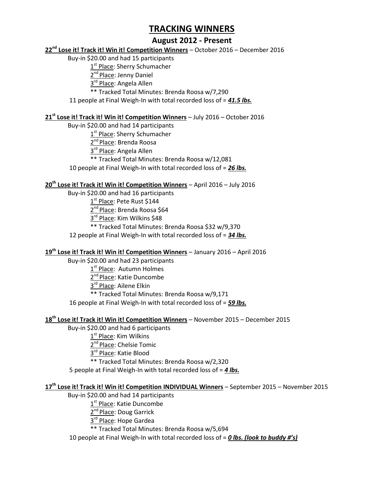## **August 2012 - Present**

#### **22nd Lose it! Track it! Win it! Competition Winners** – October 2016 – December 2016

Buy-in \$20.00 and had 15 participants

 $1^{\rm st}$  Place: Sherry Schumacher

2<sup>nd</sup> Place: Jenny Daniel

3<sup>rd</sup> Place: Angela Allen

\*\* Tracked Total Minutes: Brenda Roosa w/7,290

11 people at Final Weigh-In with total recorded loss of = *41.5 lbs.*

#### **21st Lose it! Track it! Win it! Competition Winners** – July 2016 – October 2016

Buy-in \$20.00 and had 14 participants

1<sup>st</sup> Place: Sherry Schumacher

2<sup>nd</sup> Place: Brenda Roosa

3<sup>rd</sup> Place: Angela Allen

\*\* Tracked Total Minutes: Brenda Roosa w/12,081

10 people at Final Weigh-In with total recorded loss of = *26 lbs.*

#### **20th Lose it! Track it! Win it! Competition Winners** – April 2016 – July 2016

Buy-in \$20.00 and had 16 participants

1<sup>st</sup> Place: Pete Rust \$144

2<sup>nd</sup> Place: Brenda Roosa \$64

3<sup>rd</sup> Place: Kim Wilkins \$48

\*\* Tracked Total Minutes: Brenda Roosa \$32 w/9,370

12 people at Final Weigh-In with total recorded loss of = *34 lbs.*

### **19th Lose it! Track it! Win it! Competition Winners** – January 2016 – April 2016

Buy-in \$20.00 and had 23 participants

1<sup>st</sup> Place: Autumn Holmes

2<sup>nd</sup> Place: Katie Duncombe

3<sup>rd</sup> Place: Ailene Elkin

\*\* Tracked Total Minutes: Brenda Roosa w/9,171

16 people at Final Weigh-In with total recorded loss of = *59 lbs.*

#### **18th Lose it! Track it! Win it! Competition Winners** – November 2015 – December 2015

Buy-in \$20.00 and had 6 participants

1<sup>st</sup> Place: Kim Wilkins

2<sup>nd</sup> Place: Chelsie Tomic

3<sup>rd</sup> Place: Katie Blood

\*\* Tracked Total Minutes: Brenda Roosa w/2,320

5 people at Final Weigh-In with total recorded loss of = *4 lbs.*

#### **17th Lose it! Track it! Win it! Competition INDIVIDUAL Winners** – September 2015 – November 2015

Buy-in \$20.00 and had 14 participants

1<sup>st</sup> Place: Katie Duncombe

2<sup>nd</sup> Place: Doug Garrick

3<sup>rd</sup> Place: Hope Gardea

\*\* Tracked Total Minutes: Brenda Roosa w/5,694

10 people at Final Weigh-In with total recorded loss of = *0 lbs. (look to buddy #'s)*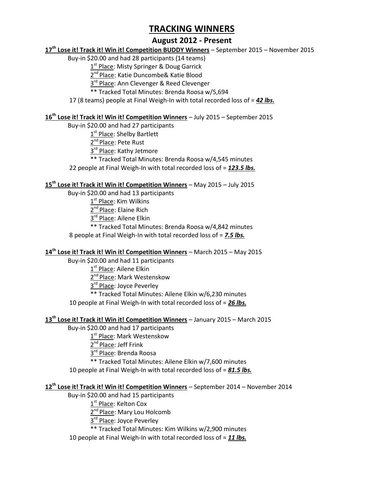## **August 2012 - Present**

#### **17th Lose it! Track it! Win it! Competition BUDDY Winners** – September 2015 – November 2015

Buy-in \$20.00 and had 28 participants (14 teams)

1<sup>st</sup> Place: Misty Springer & Doug Garrick

2<sup>nd</sup> Place: Katie Duncombe& Katie Blood

3<sup>rd</sup> Place: Ann Clevenger & Reed Clevenger

\*\* Tracked Total Minutes: Brenda Roosa w/5,694

17 (8 teams) people at Final Weigh-In with total recorded loss of = *42 lbs.*

#### **16th Lose it! Track it! Win it! Competition Winners** – July 2015 – September 2015

Buy-in \$20.00 and had 27 participants

1<sup>st</sup> Place: Shelby Bartlett

2<sup>nd</sup> Place: Pete Rust

3<sup>rd</sup> Place: Kathy Jetmore

\*\* Tracked Total Minutes: Brenda Roosa w/4,545 minutes

22 people at Final Weigh-In with total recorded loss of = *123.5 lbs.*

## **15th Lose it! Track it! Win it! Competition Winners** – May 2015 – July 2015

Buy-in \$20.00 and had 13 participants

1<sup>st</sup> Place: Kim Wilkins

2<sup>nd</sup> Place: Elaine Rich

3<sup>rd</sup> Place: Ailene Elkin

\*\* Tracked Total Minutes: Brenda Roosa w/4,842 minutes

8 people at Final Weigh-In with total recorded loss of = *7.5 lbs.*

#### **14th Lose it! Track it! Win it! Competition Winners** – March 2015 – May 2015

Buy-in \$20.00 and had 11 participants

1<sup>st</sup> Place: Ailene Elkin

2<sup>nd</sup> Place: Mark Westenskow

3<sup>rd</sup> Place: Joyce Peverley

\*\* Tracked Total Minutes: Ailene Elkin w/6,230 minutes

10 people at Final Weigh-In with total recorded loss of = *26 lbs.*

#### **13th Lose it! Track it! Win it! Competition Winners** – January 2015 – March 2015

Buy-in \$20.00 and had 17 participants

1<sup>st</sup> Place: Mark Westenskow

2<sup>nd</sup> Place: Jeff Frink

3<sup>rd</sup> Place: Brenda Roosa

\*\* Tracked Total Minutes: Ailene Elkin w/7,600 minutes

10 people at Final Weigh-In with total recorded loss of = *81.5 lbs.*

#### **12th Lose it! Track it! Win it! Competition Winners** – September 2014 – November 2014

Buy-in \$20.00 and had 15 participants

 $1^{\rm st}$  Place: Kelton Cox

2<sup>nd</sup> Place: Mary Lou Holcomb

3<sup>rd</sup> Place: Joyce Peverley

\*\* Tracked Total Minutes: Kim Wilkins w/2,900 minutes

10 people at Final Weigh-In with total recorded loss of = *11 lbs.*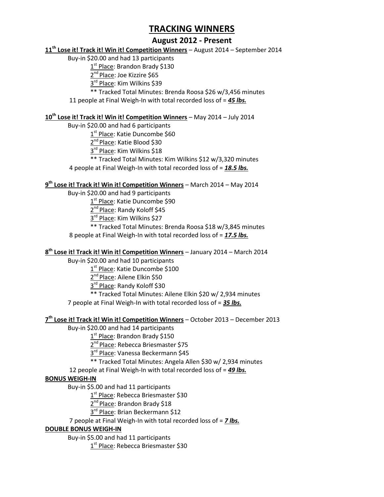## **August 2012 - Present**

#### **11th Lose it! Track it! Win it! Competition Winners** – August 2014 – September 2014

Buy-in \$20.00 and had 13 participants

1<sup>st</sup> Place: Brandon Brady \$130

2<sup>nd</sup> Place: Joe Kizzire \$65

3<sup>rd</sup> Place: Kim Wilkins \$39

\*\* Tracked Total Minutes: Brenda Roosa \$26 w/3,456 minutes

11 people at Final Weigh-In with total recorded loss of = *45 lbs.*

#### **10th Lose it! Track it! Win it! Competition Winners** – May 2014 – July 2014

Buy-in \$20.00 and had 6 participants

1<sup>st</sup> Place: Katie Duncombe \$60

2<sup>nd</sup> Place: Katie Blood \$30

3<sup>rd</sup> Place: Kim Wilkins \$18

\*\* Tracked Total Minutes: Kim Wilkins \$12 w/3,320 minutes

4 people at Final Weigh-In with total recorded loss of = *18.5 lbs.*

#### **9 th Lose it! Track it! Win it! Competition Winners** – March 2014 – May 2014

Buy-in \$20.00 and had 9 participants

1<sup>st</sup> Place: Katie Duncombe \$90

2<sup>nd</sup> Place: Randy Koloff \$45

3<sup>rd</sup> Place: Kim Wilkins \$27

\*\* Tracked Total Minutes: Brenda Roosa \$18 w/3,845 minutes

8 people at Final Weigh-In with total recorded loss of = *17.5 lbs.*

#### **8 th Lose it! Track it! Win it! Competition Winners** – January 2014 – March 2014

Buy-in \$20.00 and had 10 participants

1<sup>st</sup> Place: Katie Duncombe \$100

2<sup>nd</sup> Place: Ailene Elkin \$50

3<sup>rd</sup> Place: Randy Koloff \$30

\*\* Tracked Total Minutes: Ailene Elkin \$20 w/ 2,934 minutes

7 people at Final Weigh-In with total recorded loss of = *35 lbs.*

### **7 th Lose it! Track it! Win it! Competition Winners** – October 2013 – December 2013

Buy-in \$20.00 and had 14 participants

1<sup>st</sup> Place: Brandon Brady \$150

2<sup>nd</sup> Place: Rebecca Briesmaster \$75

3<sup>rd</sup> Place: Vanessa Beckermann \$45

\*\* Tracked Total Minutes: Angela Allen \$30 w/ 2,934 minutes

12 people at Final Weigh-In with total recorded loss of = *49 lbs.*

### **BONUS WEIGH-IN**

Buy-in \$5.00 and had 11 participants

1<sup>st</sup> Place: Rebecca Briesmaster \$30

2<sup>nd</sup> Place: Brandon Brady \$18

3<sup>rd</sup> Place: Brian Beckermann \$12

7 people at Final Weigh-In with total recorded loss of = *7 lbs.*

#### **DOUBLE BONUS WEIGH-IN**

Buy-in \$5.00 and had 11 participants

1<sup>st</sup> Place: Rebecca Briesmaster \$30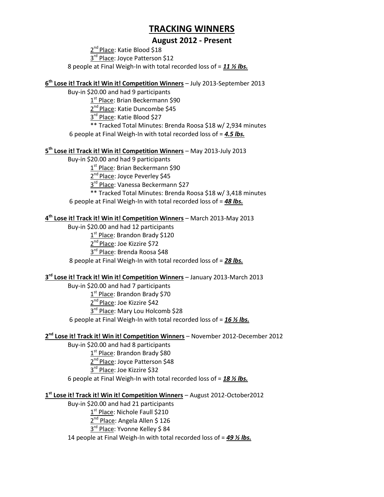## **August 2012 - Present**

2<sup>nd</sup> Place: Katie Blood \$18 3<sup>rd</sup> Place: Joyce Patterson \$12 8 people at Final Weigh-In with total recorded loss of = *11 ½ lbs.*

**6 th Lose it! Track it! Win it! Competition Winners** – July 2013-September 2013

Buy-in \$20.00 and had 9 participants 1<sup>st</sup> Place: Brian Beckermann \$90 2<sup>nd</sup> Place: Katie Duncombe \$45 3<sup>rd</sup> Place: Katie Blood \$27 \*\* Tracked Total Minutes: Brenda Roosa \$18 w/ 2,934 minutes 6 people at Final Weigh-In with total recorded loss of = *4.5 lbs.*

#### **5 th Lose it! Track it! Win it! Competition Winners** – May 2013-July 2013

Buy-in \$20.00 and had 9 participants

1<sup>st</sup> Place: Brian Beckermann \$90

2<sup>nd</sup> Place: Joyce Peverley \$45

3<sup>rd</sup> Place: Vanessa Beckermann \$27

\*\* Tracked Total Minutes: Brenda Roosa \$18 w/ 3,418 minutes

6 people at Final Weigh-In with total recorded loss of = *48 lbs.*

### **4 th Lose it! Track it! Win it! Competition Winners** – March 2013-May 2013

Buy-in \$20.00 and had 12 participants 1<sup>st</sup> Place: Brandon Brady \$120 2<sup>nd</sup> Place: Joe Kizzire \$72 3<sup>rd</sup> Place: Brenda Roosa \$48 8 people at Final Weigh-In with total recorded loss of = *28 lbs.*

#### **3 rd Lose it! Track it! Win it! Competition Winners** – January 2013-March 2013

Buy-in \$20.00 and had 7 participants 1<sup>st</sup> Place: Brandon Brady \$70 2<sup>nd</sup> Place: Joe Kizzire \$42 3<sup>rd</sup> Place: Mary Lou Holcomb \$28 6 people at Final Weigh-In with total recorded loss of = *16 ½ lbs.*

#### **2 nd Lose it! Track it! Win it! Competition Winners** – November 2012-December 2012

Buy-in \$20.00 and had 8 participants 1<sup>st</sup> Place: Brandon Brady \$80 2<sup>nd</sup> Place: Joyce Patterson \$48 3<sup>rd</sup> Place: Joe Kizzire \$32 6 people at Final Weigh-In with total recorded loss of = *18 ½ lbs.*

### **1 st Lose it! Track it! Win it! Competition Winners** – August 2012-October2012

Buy-in \$20.00 and had 21 participants

1<sup>st</sup> Place: Nichole Faull \$210 2<sup>nd</sup> Place: Angela Allen \$ 126 3<sup>rd</sup> Place: Yvonne Kelley \$ 84 14 people at Final Weigh-In with total recorded loss of = *49 ½ lbs.*